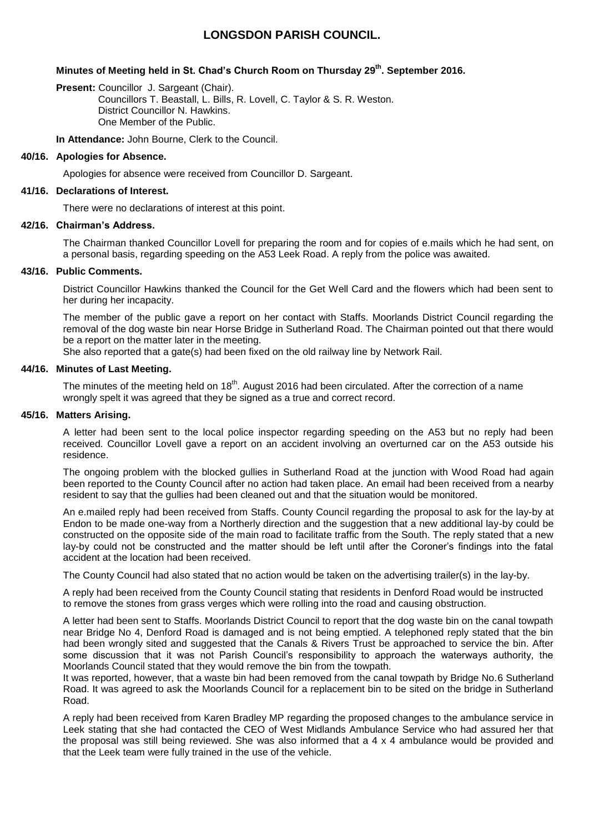# **LONGSDON PARISH COUNCIL.**

## **Minutes of Meeting held in St. Chad's Church Room on Thursday 29th . September 2016.**

**Present:** Councillor J. Sargeant (Chair). Councillors T. Beastall, L. Bills, R. Lovell, C. Taylor & S. R. Weston. District Councillor N. Hawkins. One Member of the Public.

**In Attendance:** John Bourne, Clerk to the Council.

## **40/16. Apologies for Absence.**

Apologies for absence were received from Councillor D. Sargeant.

## **41/16. Declarations of Interest.**

There were no declarations of interest at this point.

## **42/16. Chairman's Address.**

The Chairman thanked Councillor Lovell for preparing the room and for copies of e.mails which he had sent, on a personal basis, regarding speeding on the A53 Leek Road. A reply from the police was awaited.

## **43/16. Public Comments.**

District Councillor Hawkins thanked the Council for the Get Well Card and the flowers which had been sent to her during her incapacity.

The member of the public gave a report on her contact with Staffs. Moorlands District Council regarding the removal of the dog waste bin near Horse Bridge in Sutherland Road. The Chairman pointed out that there would be a report on the matter later in the meeting.

She also reported that a gate(s) had been fixed on the old railway line by Network Rail.

## **44/16. Minutes of Last Meeting.**

The minutes of the meeting held on 18<sup>th</sup>. August 2016 had been circulated. After the correction of a name wrongly spelt it was agreed that they be signed as a true and correct record.

#### **45/16. Matters Arising.**

A letter had been sent to the local police inspector regarding speeding on the A53 but no reply had been received. Councillor Lovell gave a report on an accident involving an overturned car on the A53 outside his residence.

The ongoing problem with the blocked gullies in Sutherland Road at the junction with Wood Road had again been reported to the County Council after no action had taken place. An email had been received from a nearby resident to say that the gullies had been cleaned out and that the situation would be monitored.

An e.mailed reply had been received from Staffs. County Council regarding the proposal to ask for the lay-by at Endon to be made one-way from a Northerly direction and the suggestion that a new additional lay-by could be constructed on the opposite side of the main road to facilitate traffic from the South. The reply stated that a new lay-by could not be constructed and the matter should be left until after the Coroner's findings into the fatal accident at the location had been received.

The County Council had also stated that no action would be taken on the advertising trailer(s) in the lay-by.

A reply had been received from the County Council stating that residents in Denford Road would be instructed to remove the stones from grass verges which were rolling into the road and causing obstruction.

A letter had been sent to Staffs. Moorlands District Council to report that the dog waste bin on the canal towpath near Bridge No 4, Denford Road is damaged and is not being emptied. A telephoned reply stated that the bin had been wrongly sited and suggested that the Canals & Rivers Trust be approached to service the bin. After some discussion that it was not Parish Council's responsibility to approach the waterways authority, the Moorlands Council stated that they would remove the bin from the towpath.

It was reported, however, that a waste bin had been removed from the canal towpath by Bridge No.6 Sutherland Road. It was agreed to ask the Moorlands Council for a replacement bin to be sited on the bridge in Sutherland Road.

A reply had been received from Karen Bradley MP regarding the proposed changes to the ambulance service in Leek stating that she had contacted the CEO of West Midlands Ambulance Service who had assured her that the proposal was still being reviewed. She was also informed that a 4 x 4 ambulance would be provided and that the Leek team were fully trained in the use of the vehicle.